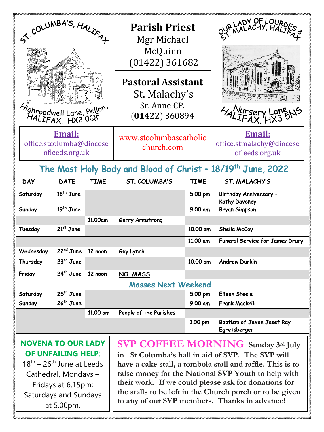| ST. COLUMBA'S, HALIFAT                                                                                                                                  |             |             | <b>Parish Priest</b><br>Mgr Michael<br>McQuinn<br>$(01422)$ 361682                                              |             | OUR LADY OF LOURDES<br><b>HALLIFAX Lang</b>                 |  |  |  |  |
|---------------------------------------------------------------------------------------------------------------------------------------------------------|-------------|-------------|-----------------------------------------------------------------------------------------------------------------|-------------|-------------------------------------------------------------|--|--|--|--|
| <i>Aighroadwell Lane</i> , Pellon.<br>HALIFAX, HX2 OQF                                                                                                  |             |             | <b>Pastoral Assistant</b><br>St. Malachy's<br>Sr. Anne CP.<br>$(01422)$ 360894                                  |             |                                                             |  |  |  |  |
| Email:<br>office.stcolumba@diocese<br>ofleeds.org.uk                                                                                                    |             |             | www.stcolumbascatholic<br>church.com<br>The Most Holy Body and Blood of Christ - 18/19 <sup>th</sup> June, 2022 |             | <u>Email:</u><br>office.stmalachy@diocese<br>ofleeds.org.uk |  |  |  |  |
| <b>DAY</b>                                                                                                                                              | <b>DATE</b> | <b>TIME</b> | ST. COLUMBA'S                                                                                                   | <b>TIME</b> | ST. MALACHY'S                                               |  |  |  |  |
| Saturday                                                                                                                                                | $18th$ June |             |                                                                                                                 | 5.00 pm     | Birthday Anniversary -<br><b>Kathy Daveney</b>              |  |  |  |  |
| Sunday                                                                                                                                                  | $19th$ June |             |                                                                                                                 | 9.00 am     | <b>Bryan Simpson</b>                                        |  |  |  |  |
|                                                                                                                                                         |             | 11.00am     | Gerry Armstrong                                                                                                 |             |                                                             |  |  |  |  |
| Tuesday                                                                                                                                                 | $21st$ June |             |                                                                                                                 | 10.00 am    | Sheila McCoy                                                |  |  |  |  |
|                                                                                                                                                         |             |             |                                                                                                                 | 11.00 am    | Funeral Service for James Drury                             |  |  |  |  |
| Wednesday                                                                                                                                               | $22nd$ June | 12 noon     | Guy Lynch                                                                                                       |             |                                                             |  |  |  |  |
| Thursday                                                                                                                                                | $23rd$ June |             |                                                                                                                 | 10.00 am    | <b>Andrew Durkin</b>                                        |  |  |  |  |
| Friday                                                                                                                                                  | $24th$ June | 12 noon     | NO MASS                                                                                                         |             |                                                             |  |  |  |  |
| <b>Masses Next Weekend</b>                                                                                                                              |             |             |                                                                                                                 |             |                                                             |  |  |  |  |
| Saturday                                                                                                                                                | $25th$ June |             |                                                                                                                 | 5.00 pm     | Eileen Steele                                               |  |  |  |  |
| Sunday                                                                                                                                                  | $26th$ June |             |                                                                                                                 | 9.00 am     | <b>Frank Mackrill</b>                                       |  |  |  |  |
|                                                                                                                                                         |             | 11.00 am    | People of the Parishes                                                                                          |             |                                                             |  |  |  |  |
|                                                                                                                                                         |             |             |                                                                                                                 | 1.00 pm     | Baptism of Jaxon Josef Ray<br>Egretsberger                  |  |  |  |  |
| <b>NOVENA TO OUR LADY</b><br><b>SVP COFFEE MORNING</b> Sunday 3rd July<br><b>OF UNFAILING HELP:</b><br>in St Columba's hall in aid of SVP. The SVP will |             |             |                                                                                                                 |             |                                                             |  |  |  |  |

 $18^{th}$  – 26<sup>th</sup> June at Leeds Cathedral, Mondays – Fridays at 6.15pm; Saturdays and Sundays at 5.00pm.

**in St Columba's hall in aid of SVP. The SVP will have a cake stall, a tombola stall and raffle. This is to raise money for the National SVP Youth to help with their work. If we could please ask for donations for the stalls to be left in the Church porch or to be given to any of our SVP members. Thanks in advance!**